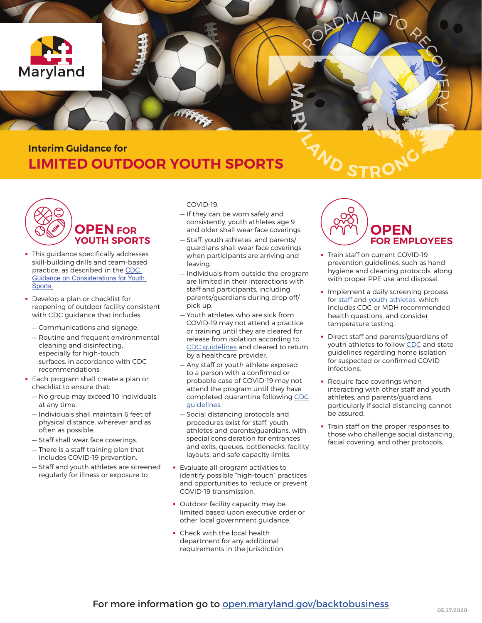

## **Interim Guidance for LIMITED OUTDOOR YOUTH SPORTS**



- **•** This guidance specifically addresses skill-building drills and team-based practice, as described in the [CDC](https://www.cdc.gov/coronavirus/2019-ncov/community/schools-childcare/youth-sports.html)  [Guidance on Considerations for Youth](https://www.cdc.gov/coronavirus/2019-ncov/community/schools-childcare/youth-sports.html)  [Sports](https://www.cdc.gov/coronavirus/2019-ncov/community/schools-childcare/youth-sports.html).
- **•** Develop a plan or checklist for reopening of outdoor facility consistent with CDC guidance that includes:
	- Communications and signage.
	- Routine and frequent environmental cleaning and disinfecting, especially for high-touch surfaces, in accordance with CDC recommendations.
- **•** Each program shall create a plan or checklist to ensure that:
	- No group may exceed 10 individuals at any time.
	- Individuals shall maintain 6 feet of physical distance, wherever and as often as possible.
	- Staff shall wear face coverings.
	- There is a staff training plan that includes COVID-19 prevention.
	- Staff and youth athletes are screened regularly for illness or exposure to

COVID-19.

- If they can be worn safely and consistently, youth athletes age 9 and older shall wear face coverings.
- Staff, youth athletes, and parents/ guardians shall wear face coverings when participants are arriving and leaving.
- Individuals from outside the program are limited in their interactions with staff and participants, including parents/guardians during drop off/ pick up.
- Youth athletes who are sick from COVID-19 may not attend a practice or training until they are cleared for release from isolation according to [CDC guidelines](https://www.cdc.gov/coronavirus/2019-ncov/if-you-are-sick/end-home-isolation.html) and cleared to return by a healthcare provider.
- Any staff or youth athlete exposed to a person with a confirmed or probable case of COVID-19 may not attend the program until they have completed quarantine following [CDC](https://www.cdc.gov/coronavirus/2019-ncov/if-you-are-sick/quarantine-isolation.html) [guidelines.](https://www.cdc.gov/coronavirus/2019-ncov/if-you-are-sick/quarantine-isolation.html)
- Social distancing protocols and procedures exist for staff, youth athletes and parents/guardians, with special consideration for entrances and exits, queues, bottlenecks, facility layouts, and safe capacity limits.
- **•** Evaluate all program activities to identify possible "high-touch" practices and opportunities to reduce or prevent COVID-19 transmission.
- **•** Outdoor facility capacity may be limited based upon executive order or other local government guidance.
- **•** Check with the local health department for any additional requirements in the jurisdiction



- **•** Train staff on current COVID-19 prevention guidelines, such as hand hygiene and cleaning protocols, along with proper PPE use and disposal.
- **•** Implement a daily screening process for [staff](https://www.cdc.gov/coronavirus/2019-ncov/community/general-business-faq.html) and [youth athletes,](https://www.cdc.gov/coronavirus/2019-ncov/community/schools-childcare/guidance-for-childcare.html#ScreenChildren) which includes CDC or MDH recommended health questions, and consider temperature testing.
- **•** Direct staff and parents/guardians of youth athletes to follow [CDC](https://www.cdc.gov/coronavirus/2019-ncov/community/guidance-business-response.html) and state guidelines regarding home isolation for suspected or confirmed COVID infections.
- **•** Require face coverings when interacting with other staff and youth athletes, and parents/guardians, particularly if social distancing cannot be assured.
- **•** Train staff on the proper responses to those who challenge social distancing, facial covering, and other protocols.